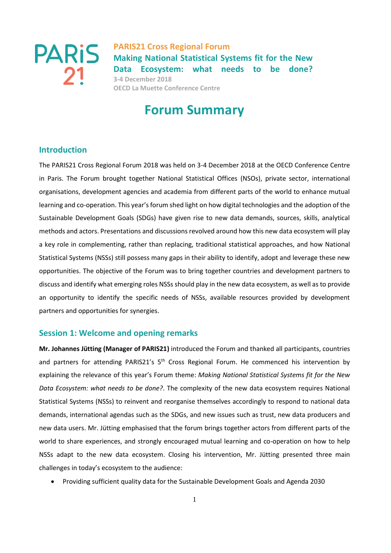

# **Forum Summary**

### **Introduction**

The PARIS21 Cross Regional Forum 2018 was held on 3-4 December 2018 at the OECD Conference Centre in Paris. The Forum brought together National Statistical Offices (NSOs), private sector, international organisations, development agencies and academia from different parts of the world to enhance mutual learning and co-operation. This year's forum shed light on how digital technologies and the adoption of the Sustainable Development Goals (SDGs) have given rise to new data demands, sources, skills, analytical methods and actors. Presentations and discussions revolved around how this new data ecosystem will play a key role in complementing, rather than replacing, traditional statistical approaches, and how National Statistical Systems (NSSs) still possess many gaps in their ability to identify, adopt and leverage these new opportunities. The objective of the Forum was to bring together countries and development partners to discuss and identify what emerging roles NSSs should play in the new data ecosystem, as well as to provide an opportunity to identify the specific needs of NSSs, available resources provided by development partners and opportunities for synergies.

### **Session 1: Welcome and opening remarks**

**Mr. Johannes Jütting (Manager of PARIS21)** introduced the Forum and thanked all participants, countries and partners for attending PARIS21's 5<sup>th</sup> Cross Regional Forum. He commenced his intervention by explaining the relevance of this year's Forum theme: *Making National Statistical Systems fit for the New Data Ecosystem: what needs to be done?*. The complexity of the new data ecosystem requires National Statistical Systems (NSSs) to reinvent and reorganise themselves accordingly to respond to national data demands, international agendas such as the SDGs, and new issues such as trust, new data producers and new data users. Mr. Jütting emphasised that the forum brings together actors from different parts of the world to share experiences, and strongly encouraged mutual learning and co-operation on how to help NSSs adapt to the new data ecosystem. Closing his intervention, Mr. Jütting presented three main challenges in today's ecosystem to the audience:

Providing sufficient quality data for the Sustainable Development Goals and Agenda 2030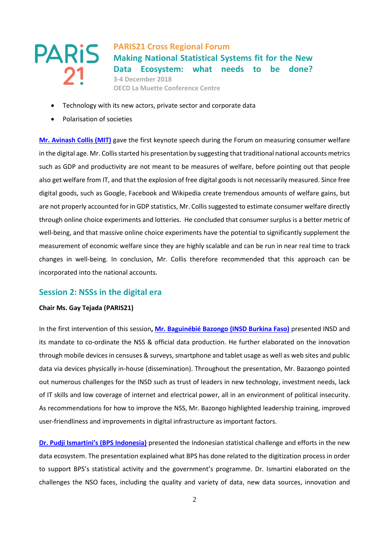**PARIS21 Cross Regional Forum Making National Statistical Systems fit for the New Data Ecosystem: what needs to be done? 3-4 December 2018 OECD La Muette Conference Centre**

- Technology with its new actors, private sector and corporate data
- Polarisation of societies

**[Mr. Avinash Collis \(MIT\)](http://www.paris21.org/sites/default/files/2018-12/Session%201%20-%20Mr.%20Collis.pptx)** gave the first keynote speech during the Forum on measuring consumer welfare in the digital age. Mr. Collis started his presentation by suggesting that traditional national accounts metrics such as GDP and productivity are not meant to be measures of welfare, before pointing out that people also get welfare from IT, and that the explosion of free digital goods is not necessarily measured. Since free digital goods, such as Google, Facebook and Wikipedia create tremendous amounts of welfare gains, but are not properly accounted for in GDP statistics, Mr. Collis suggested to estimate consumer welfare directly through online choice experiments and lotteries. He concluded that consumer surplus is a better metric of well-being, and that massive online choice experiments have the potential to significantly supplement the measurement of economic welfare since they are highly scalable and can be run in near real time to track changes in well-being. In conclusion, Mr. Collis therefore recommended that this approach can be incorporated into the national accounts.

### **Session 2: NSSs in the digital era**

### **Chair Ms. Gay Tejada (PARIS21)**

In the first intervention of this session**[, Mr. Baguinébié Bazongo](http://www.paris21.org/sites/default/files/2018-12/Session%202%20Bazongo.pptx) (INSD Burkina Faso)** presented INSD and its mandate to co-ordinate the NSS & official data production. He further elaborated on the innovation through mobile devices in censuses & surveys, smartphone and tablet usage as well as web sites and public data via devices physically in-house (dissemination). Throughout the presentation, Mr. Bazaongo pointed out numerous challenges for the INSD such as trust of leaders in new technology, investment needs, lack of IT skills and low coverage of internet and electrical power, all in an environment of political insecurity. As recommendations for how to improve the NSS, Mr. Bazongo highlighted leadership training, improved user-friendliness and improvements in digital infrastructure as important factors.

**[Dr. Pudji Ismartini](http://www.paris21.org/sites/default/files/2019-01/Session%202%20dr%20Ismartini%20-%20compressed2-converted.pdf)'s (BPS Indonesia)** presented the Indonesian statistical challenge and efforts in the new data ecosystem. The presentation explained what BPS has done related to the digitization process in order to support BPS's statistical activity and the government's programme. Dr. Ismartini elaborated on the challenges the NSO faces, including the quality and variety of data, new data sources, innovation and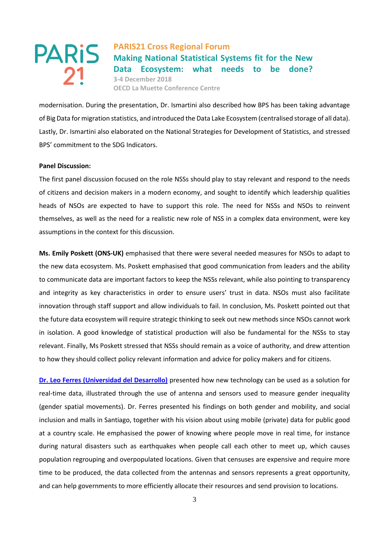**PARIS21 Cross Regional Forum Making National Statistical Systems fit for the New Data Ecosystem: what needs to be done? 3-4 December 2018 OECD La Muette Conference Centre**

modernisation. During the presentation, Dr. Ismartini also described how BPS has been taking advantage of Big Data for migration statistics, and introduced the Data Lake Ecosystem (centralised storage of all data). Lastly, Dr. Ismartini also elaborated on the National Strategies for Development of Statistics, and stressed BPS' commitment to the SDG Indicators.

### **Panel Discussion:**

The first panel discussion focused on the role NSSs should play to stay relevant and respond to the needs of citizens and decision makers in a modern economy, and sought to identify which leadership qualities heads of NSOs are expected to have to support this role. The need for NSSs and NSOs to reinvent themselves, as well as the need for a realistic new role of NSS in a complex data environment, were key assumptions in the context for this discussion.

**Ms. Emily Poskett (ONS-UK)** emphasised that there were several needed measures for NSOs to adapt to the new data ecosystem. Ms. Poskett emphasised that good communication from leaders and the ability to communicate data are important factors to keep the NSSs relevant, while also pointing to transparency and integrity as key characteristics in order to ensure users' trust in data. NSOs must also facilitate innovation through staff support and allow individuals to fail. In conclusion, Ms. Poskett pointed out that the future data ecosystem will require strategic thinking to seek out new methods since NSOs cannot work in isolation. A good knowledge of statistical production will also be fundamental for the NSSs to stay relevant. Finally, Ms Poskett stressed that NSSs should remain as a voice of authority, and drew attention to how they should collect policy relevant information and advice for policy makers and for citizens.

**Dr. Leo Ferres [\(Universidad del Desarrollo\)](http://www.paris21.org/sites/default/files/2018-12/Session%202%20-%20Leo%20Ferres.pdf)** presented how new technology can be used as a solution for real-time data, illustrated through the use of antenna and sensors used to measure gender inequality (gender spatial movements). Dr. Ferres presented his findings on both gender and mobility, and social inclusion and malls in Santiago, together with his vision about using mobile (private) data for public good at a country scale. He emphasised the power of knowing where people move in real time, for instance during natural disasters such as earthquakes when people call each other to meet up, which causes population regrouping and overpopulated locations. Given that censuses are expensive and require more time to be produced, the data collected from the antennas and sensors represents a great opportunity, and can help governments to more efficiently allocate their resources and send provision to locations.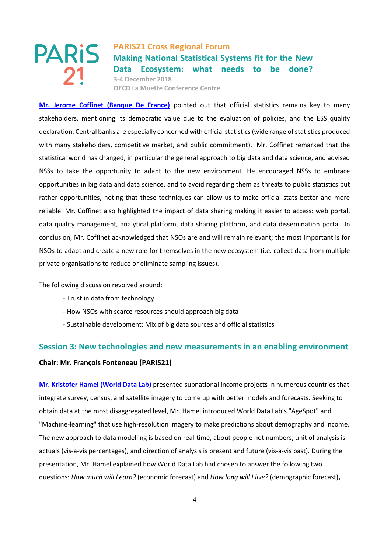

**[Mr. Jerome Coffinet \(Banque De France\)](http://www.paris21.org/sites/default/files/2018-12/Session%202%20pannel%20Coffinet.pdf)** pointed out that official statistics remains key to many stakeholders, mentioning its democratic value due to the evaluation of policies, and the ESS quality declaration. Central banks are especially concerned with official statistics (wide range of statistics produced with many stakeholders, competitive market, and public commitment). Mr. Coffinet remarked that the statistical world has changed, in particular the general approach to big data and data science, and advised NSSs to take the opportunity to adapt to the new environment. He encouraged NSSs to embrace opportunities in big data and data science, and to avoid regarding them as threats to public statistics but rather opportunities, noting that these techniques can allow us to make official stats better and more reliable. Mr. Coffinet also highlighted the impact of data sharing making it easier to access: web portal, data quality management, analytical platform, data sharing platform, and data dissemination portal. In conclusion, Mr. Coffinet acknowledged that NSOs are and will remain relevant; the most important is for NSOs to adapt and create a new role for themselves in the new ecosystem (i.e. collect data from multiple private organisations to reduce or eliminate sampling issues).

The following discussion revolved around:

- Trust in data from technology
- How NSOs with scarce resources should approach big data
- Sustainable development: Mix of big data sources and official statistics

# **Session 3: New technologies and new measurements in an enabling environment**

### **Chair: Mr. François Fonteneau (PARIS21)**

**[Mr. Kristofer Hamel \(World Data Lab\)](http://www.paris21.org/sites/default/files/2019-01/Session%203%20-%20Mr.%20Hamel.pdf)** presented subnational income projects in numerous countries that integrate survey, census, and satellite imagery to come up with better models and forecasts. Seeking to obtain data at the most disaggregated level, Mr. Hamel introduced World Data Lab's "AgeSpot" and "Machine-learning" that use high-resolution imagery to make predictions about demography and income. The new approach to data modelling is based on real-time, about people not numbers, unit of analysis is actuals (vis-a-vis percentages), and direction of analysis is present and future (vis-a-vis past). During the presentation, Mr. Hamel explained how World Data Lab had chosen to answer the following two questions: *How much will I earn?* (economic forecast) and *How long will I live?* (demographic forecast)**,**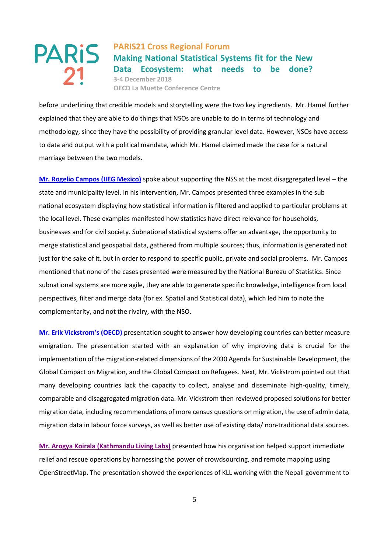**PARIS21 Cross Regional Forum Making National Statistical Systems fit for the New Data Ecosystem: what needs to be done? 3-4 December 2018 OECD La Muette Conference Centre**

before underlining that credible models and storytelling were the two key ingredients. Mr. Hamel further explained that they are able to do things that NSOs are unable to do in terms of technology and methodology, since they have the possibility of providing granular level data. However, NSOs have access to data and output with a political mandate, which Mr. Hamel claimed made the case for a natural marriage between the two models.

**[Mr. Rogelio Campos \(IIEG Mexico\)](http://www.paris21.org/sites/default/files/2018-12/Session%203%20-%20Mr.%20Campos-compressed.pdf)** spoke about supporting the NSS at the most disaggregated level – the state and municipality level. In his intervention, Mr. Campos presented three examples in the sub national ecosystem displaying how statistical information is filtered and applied to particular problems at the local level. These examples manifested how statistics have direct relevance for households, businesses and for civil society. Subnational statistical systems offer an advantage, the opportunity to merge statistical and geospatial data, gathered from multiple sources; thus, information is generated not just for the sake of it, but in order to respond to specific public, private and social problems. Mr. Campos mentioned that none of the cases presented were measured by the National Bureau of Statistics. Since subnational systems are more agile, they are able to generate specific knowledge, intelligence from local perspectives, filter and merge data (for ex. Spatial and Statistical data), which led him to note the complementarity, and not the rivalry, with the NSO.

**[Mr. Erik Vickstrom](http://www.paris21.org/sites/default/files/2018-12/Session%203%20-%20Mr.%20Vickstrom.pptx)'s (OECD)** presentation sought to answer how developing countries can better measure emigration. The presentation started with an explanation of why improving data is crucial for the implementation of the migration-related dimensions of the 2030 Agenda for Sustainable Development, the Global Compact on Migration, and the Global Compact on Refugees. Next, Mr. Vickstrom pointed out that many developing countries lack the capacity to collect, analyse and disseminate high-quality, timely, comparable and disaggregated migration data. Mr. Vickstrom then reviewed proposed solutions for better migration data, including recommendations of more census questions on migration, the use of admin data, migration data in labour force surveys, as well as better use of existing data/ non-traditional data sources.

**[Mr. Arogya Koirala \(Kathmandu Living Labs\)](https://slides.com/arogyakoirala/deck-7#/0/3)** presented how his organisation helped support immediate relief and rescue operations by harnessing the power of crowdsourcing, and remote mapping using OpenStreetMap. The presentation showed the experiences of KLL working with the Nepali government to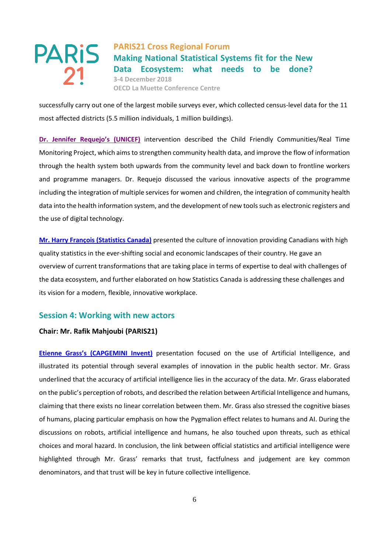

successfully carry out one of the largest mobile surveys ever, which collected census-level data for the 11 most affected districts (5.5 million individuals, 1 million buildings).

**[Dr. Jennifer Requejo's](http://www.paris21.org/sites/default/files/2018-12/Session%203%20-%20Dr%20Requejo.pptx) (UNICEF)** intervention described the Child Friendly Communities/Real Time Monitoring Project, which aims to strengthen community health data, and improve the flow of information through the health system both upwards from the community level and back down to frontline workers and programme managers. Dr. Requejo discussed the various innovative aspects of the programme including the integration of multiple services for women and children, the integration of community health data into the health information system, and the development of new tools such as electronic registers and the use of digital technology.

**[Mr. Harry François](http://www.paris21.org/sites/default/files/2018-12/Session%203%20-%20Mr.%20Francois.pptx) (Statistics Canada)** presented the culture of innovation providing Canadians with high quality statistics in the ever-shifting social and economic landscapes of their country. He gave an overview of current transformations that are taking place in terms of expertise to deal with challenges of the data ecosystem, and further elaborated on how Statistics Canada is addressing these challenges and its vision for a modern, flexible, innovative workplace.

### **Session 4: Working with new actors**

### **Chair: Mr. Rafik Mahjoubi (PARIS21)**

**Etienne Grass's [\(CAPGEMINI Invent\)](http://www.paris21.org/sites/default/files/2018-12/Session%204%20-%20IA%20for%20gov%20OECD%20def.pptx)** presentation focused on the use of Artificial Intelligence, and illustrated its potential through several examples of innovation in the public health sector. Mr. Grass underlined that the accuracy of artificial intelligence lies in the accuracy of the data. Mr. Grass elaborated on the public's perception of robots, and described the relation between Artificial Intelligence and humans, claiming that there exists no linear correlation between them. Mr. Grass also stressed the cognitive biases of humans, placing particular emphasis on how the Pygmalion effect relates to humans and AI. During the discussions on robots, artificial intelligence and humans, he also touched upon threats, such as ethical choices and moral hazard. In conclusion, the link between official statistics and artificial intelligence were highlighted through Mr. Grass' remarks that trust, factfulness and judgement are key common denominators, and that trust will be key in future collective intelligence.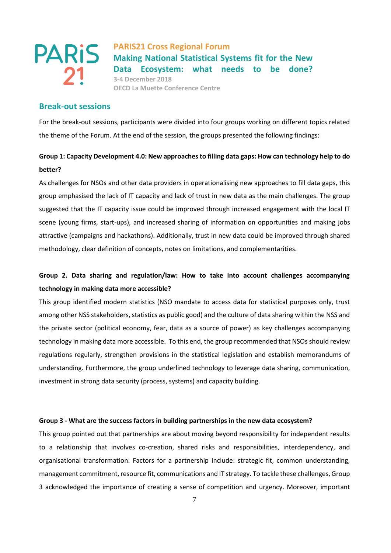

### **Break-out sessions**

For the break-out sessions, participants were divided into four groups working on different topics related the theme of the Forum. At the end of the session, the groups presented the following findings:

# **Group 1: Capacity Development 4.0: New approaches to filling data gaps: How can technology help to do better?**

As challenges for NSOs and other data providers in operationalising new approaches to fill data gaps, this group emphasised the lack of IT capacity and lack of trust in new data as the main challenges. The group suggested that the IT capacity issue could be improved through increased engagement with the local IT scene (young firms, start-ups), and increased sharing of information on opportunities and making jobs attractive (campaigns and hackathons). Additionally, trust in new data could be improved through shared methodology, clear definition of concepts, notes on limitations, and complementarities.

# **Group 2. Data sharing and regulation/law: How to take into account challenges accompanying technology in making data more accessible?**

This group identified modern statistics (NSO mandate to access data for statistical purposes only, trust among other NSS stakeholders, statistics as public good) and the culture of data sharing within the NSS and the private sector (political economy, fear, data as a source of power) as key challenges accompanying technology in making data more accessible. To this end, the group recommended that NSOs should review regulations regularly, strengthen provisions in the statistical legislation and establish memorandums of understanding. Furthermore, the group underlined technology to leverage data sharing, communication, investment in strong data security (process, systems) and capacity building.

### **Group 3 - What are the success factors in building partnerships in the new data ecosystem?**

This group pointed out that partnerships are about moving beyond responsibility for independent results to a relationship that involves co-creation, shared risks and responsibilities, interdependency, and organisational transformation. Factors for a partnership include: strategic fit, common understanding, management commitment, resource fit, communications and IT strategy. To tackle these challenges, Group 3 acknowledged the importance of creating a sense of competition and urgency. Moreover, important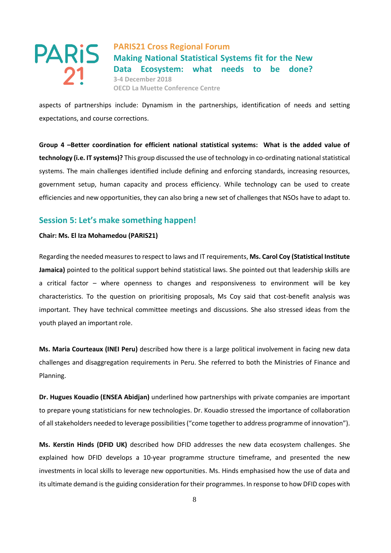

aspects of partnerships include: Dynamism in the partnerships, identification of needs and setting expectations, and course corrections.

**Group 4 –Better coordination for efficient national statistical systems: What is the added value of technology (i.e. IT systems)?** This group discussed the use of technology in co-ordinating national statistical systems. The main challenges identified include defining and enforcing standards, increasing resources, government setup, human capacity and process efficiency. While technology can be used to create efficiencies and new opportunities, they can also bring a new set of challenges that NSOs have to adapt to.

### **Session 5: Let's make something happen!**

### **Chair: Ms. El Iza Mohamedou (PARIS21)**

Regarding the needed measures to respect to laws and IT requirements, **Ms. Carol Coy (Statistical Institute Jamaica)** pointed to the political support behind statistical laws. She pointed out that leadership skills are a critical factor – where openness to changes and responsiveness to environment will be key characteristics. To the question on prioritising proposals, Ms Coy said that cost-benefit analysis was important. They have technical committee meetings and discussions. She also stressed ideas from the youth played an important role.

**Ms. Maria Courteaux (INEI Peru)** described how there is a large political involvement in facing new data challenges and disaggregation requirements in Peru. She referred to both the Ministries of Finance and Planning.

**Dr. Hugues Kouadio (ENSEA Abidjan)** underlined how partnerships with private companies are important to prepare young statisticians for new technologies. Dr. Kouadio stressed the importance of collaboration of all stakeholders needed to leverage possibilities ("come together to address programme of innovation").

**Ms. Kerstin Hinds (DFID UK)** described how DFID addresses the new data ecosystem challenges. She explained how DFID develops a 10-year programme structure timeframe, and presented the new investments in local skills to leverage new opportunities. Ms. Hinds emphasised how the use of data and its ultimate demand is the guiding consideration for their programmes. In response to how DFID copes with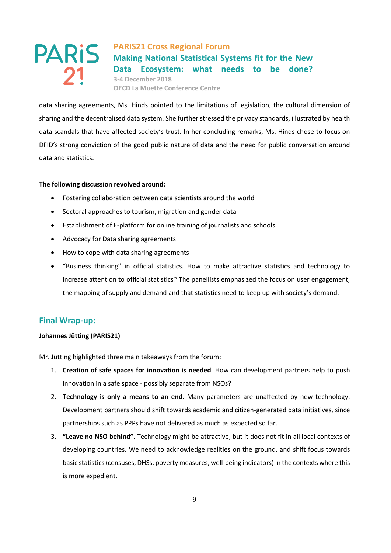**PARIS21 Cross Regional Forum Making National Statistical Systems fit for the New Data Ecosystem: what needs to be done? 3-4 December 2018 OECD La Muette Conference Centre**

data sharing agreements, Ms. Hinds pointed to the limitations of legislation, the cultural dimension of sharing and the decentralised data system. She further stressed the privacy standards, illustrated by health data scandals that have affected society's trust. In her concluding remarks, Ms. Hinds chose to focus on DFID's strong conviction of the good public nature of data and the need for public conversation around data and statistics.

### **The following discussion revolved around:**

- Fostering collaboration between data scientists around the world
- Sectoral approaches to tourism, migration and gender data
- Establishment of E-platform for online training of journalists and schools
- Advocacy for Data sharing agreements
- How to cope with data sharing agreements
- "Business thinking" in official statistics. How to make attractive statistics and technology to increase attention to official statistics? The panellists emphasized the focus on user engagement, the mapping of supply and demand and that statistics need to keep up with society's demand.

### **Final Wrap-up:**

### **Johannes Jütting (PARIS21)**

Mr. Jütting highlighted three main takeaways from the forum:

- 1. **Creation of safe spaces for innovation is needed**. How can development partners help to push innovation in a safe space - possibly separate from NSOs?
- 2. **Technology is only a means to an end**. Many parameters are unaffected by new technology. Development partners should shift towards academic and citizen-generated data initiatives, since partnerships such as PPPs have not delivered as much as expected so far.
- 3. **"Leave no NSO behind".** Technology might be attractive, but it does not fit in all local contexts of developing countries. We need to acknowledge realities on the ground, and shift focus towards basic statistics (censuses, DHSs, poverty measures, well-being indicators) in the contexts where this is more expedient.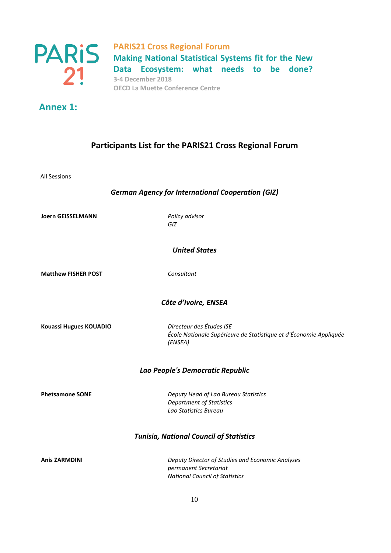

# **Annex 1:**

# **Participants List for the PARIS21 Cross Regional Forum**

All Sessions

### *German Agency for International Cooperation (GIZ)*

**Joern GEISSELMANN** *Policy advisor*

*GIZ*

*United States*

**Matthew FISHER POST** *Consultant*

### *Côte d'Ivoire, ENSEA*

**Kouassi Hugues KOUADIO** *Directeur des Études ISE*

*École Nationale Supérieure de Statistique et d'Économie Appliquée (ENSEA)*

### *Lao People's Democratic Republic*

**Phetsamone SONE** *Deputy Head of Lao Bureau Statistics Department of Statistics Lao Statistics Bureau*

### *Tunisia, National Council of Statistics*

**Anis ZARMDINI** *Deputy Director of Studies and Economic Analyses permanent Secretariat National Council of Statistics*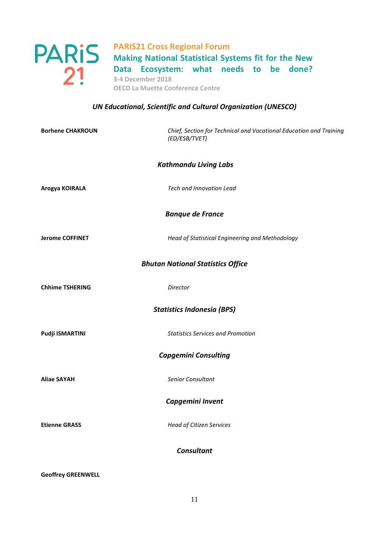

## *UN Educational, Scientific and Cultural Organization (UNESCO)*

| <b>Borhene CHAKROUN</b>                  | Chief, Section for Technical and Vocational Education and Training<br>(ED/ESB/TVET) |  |
|------------------------------------------|-------------------------------------------------------------------------------------|--|
|                                          | <b>Kathmandu Living Labs</b>                                                        |  |
| Arogya KOIRALA                           | Tech and Innovation Lead                                                            |  |
| <b>Banque de France</b>                  |                                                                                     |  |
| <b>Jerome COFFINET</b>                   | Head of Statistical Engineering and Methodology                                     |  |
| <b>Bhutan National Statistics Office</b> |                                                                                     |  |
| <b>Chhime TSHERING</b>                   | Director                                                                            |  |
| <b>Statistics Indonesia (BPS)</b>        |                                                                                     |  |
| Pudji ISMARTINI                          | <b>Statistics Services and Promotion</b>                                            |  |
| <b>Capgemini Consulting</b>              |                                                                                     |  |
| <b>Aliae SAYAH</b>                       | Senior Consultant                                                                   |  |
| Capgemini Invent                         |                                                                                     |  |
| <b>Etienne GRASS</b>                     | <b>Head of Citizen Services</b>                                                     |  |
| <b>Consultant</b>                        |                                                                                     |  |

**Geoffrey GREENWELL**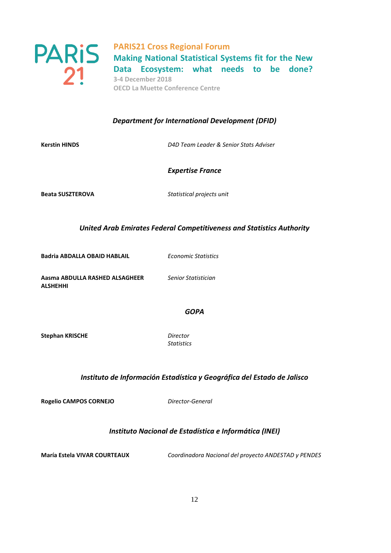

**Making National Statistical Systems fit for the New Data Ecosystem: what needs to be done? 3-4 December 2018 OECD La Muette Conference Centre**

### *Department for International Development (DFID)*

**Kerstin HINDS** *D4D Team Leader & Senior Stats Adviser*

*Expertise France*

**Beata SUSZTEROVA** *Statistical projects unit*

*United Arab Emirates Federal Competitiveness and Statistics Authority* 

**Badria ABDALLA OBAID HABLAIL** *Economic Statistics* 

**Aasma ABDULLA RASHED ALSAGHEER ALSHEHHI**

*Senior Statistician*

### *GOPA*

**Stephan KRISCHE** *Director*

*Statistics*

### *Instituto de Información Estadística y Geográfica del Estado de Jalisco*

**Rogelio CAMPOS CORNEJO** *Director-General*

### *Instituto Nacional de Estadística e Informática (INEI)*

**María Estela VIVAR COURTEAUX** *Coordinadora Nacional del proyecto ANDESTAD y PENDES*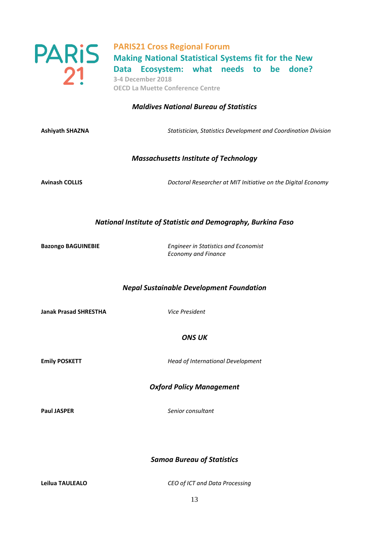

### *Maldives National Bureau of Statistics*

**Ashiyath SHAZNA** *Statistician, Statistics Development and Coordination Division*

### *Massachusetts Institute of Technology*

**Avinash COLLIS** *Doctoral Researcher at MIT Initiative on the Digital Economy*

### *National Institute of Statistic and Demography, Burkina Faso*

**Bazongo BAGUINEBIE** *Engineer in Statistics and Economist Economy and Finance* 

### *Nepal Sustainable Development Foundation*

**Janak Prasad SHRESTHA** *Vice President*

*ONS UK*

**Emily POSKETT** *Head of International Development*

*Oxford Policy Management*

**Paul JASPER** *Senior consultant*

*Samoa Bureau of Statistics*

**Leilua TAULEALO** *CEO of ICT and Data Processing*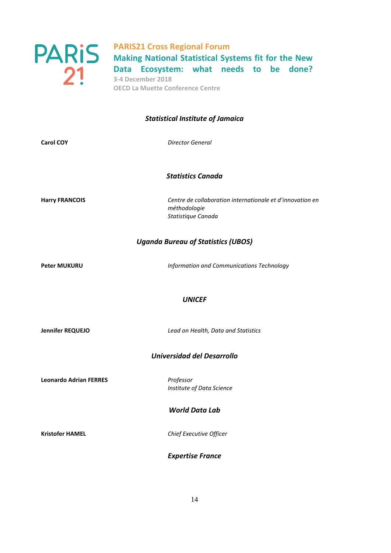

# **PARIS21 Cross Regional Forum Making National Statistical Systems fit for the New Data Ecosystem: what needs to be done?**

**3-4 December 2018 OECD La Muette Conference Centre**

### *Statistical Institute of Jamaica*

**Carol COY** *Director General*

*Statistics Canada*

**Harry FRANCOIS** *Centre de collaboration internationale et d'innovation en méthodologie Statistique Canada*

### *Uganda Bureau of Statistics (UBOS)*

**Peter MUKURU** *Information and Communications Technology*

### *UNICEF*

**Jennifer REQUEJO** *Lead on Health, Data and Statistics*

### *Universidad del Desarrollo*

**Leonardo Adrian FERRES** *Professor*

*Institute of Data Science*

### *World Data Lab*

**Kristofer HAMEL** *Chief Executive Officer*

### *Expertise France*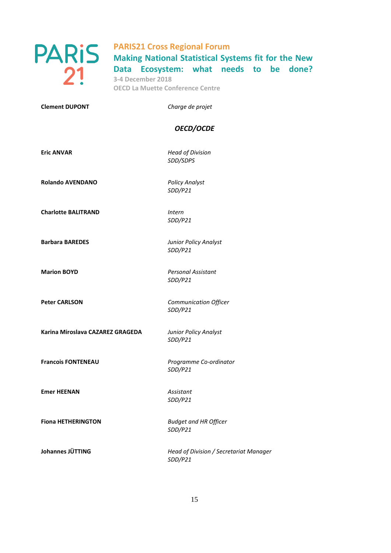

**Making National Statistical Systems fit for the New Data Ecosystem: what needs to be done? 3-4 December 2018 OECD La Muette Conference Centre**

**Clement DUPONT** *Charge de projet*

### *OECD/OCDE*

**Eric ANVAR** *Head of Division SDD/SDPS*

**Rolando AVENDANO** *Policy Analyst*

*SDD/P21*

**Charlotte BALITRAND** *Intern SDD/P21*

*SDD/P21*

*SDD/P21*

*SDD/P21*

**Barbara BAREDES** *Junior Policy Analyst*

**Marion BOYD** *Personal Assistant SDD/P21*

**Peter CARLSON** *Communication Officer SDD/P21*

**Karina Miroslava CAZAREZ GRAGEDA** *Junior Policy Analyst*

**Francois FONTENEAU** *Programme Co-ordinator SDD/P21*

**Emer HEENAN** *Assistant*

**Fiona HETHERINGTON** *Budget and HR Officer SDD/P21*

**Johannes JÜTTING** *Head of Division / Secretariat Manager SDD/P21*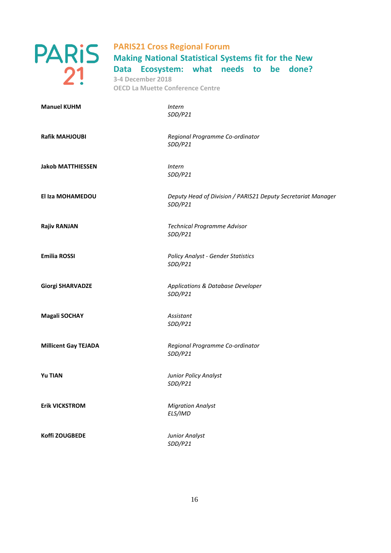

**Making National Statistical Systems fit for the New Data Ecosystem: what needs to be done? 3-4 December 2018 OECD La Muette Conference Centre**

| <b>Manuel KUHM</b>          | <b>Intern</b><br>SDD/P21                                                |
|-----------------------------|-------------------------------------------------------------------------|
| <b>Rafik MAHJOUBI</b>       | Regional Programme Co-ordinator<br>SDD/P21                              |
| <b>Jakob MATTHIESSEN</b>    | Intern<br>SDD/P21                                                       |
| El Iza MOHAMEDOU            | Deputy Head of Division / PARIS21 Deputy Secretariat Manager<br>SDD/P21 |
| <b>Rajiv RANJAN</b>         | Technical Programme Advisor<br>SDD/P21                                  |
| <b>Emilia ROSSI</b>         | <b>Policy Analyst - Gender Statistics</b><br>SDD/P21                    |
| <b>Giorgi SHARVADZE</b>     | Applications & Database Developer<br>SDD/P21                            |
| <b>Magali SOCHAY</b>        | Assistant<br>SDD/P21                                                    |
| <b>Millicent Gay TEJADA</b> | Regional Programme Co-ordinator<br>SDD/P21                              |
| <b>Yu TIAN</b>              | Junior Policy Analyst<br>SDD/P21                                        |
| <b>Erik VICKSTROM</b>       | <b>Migration Analyst</b><br>ELS/IMD                                     |
| Koffi ZOUGBEDE              | Junior Analyst<br>SDD/P21                                               |